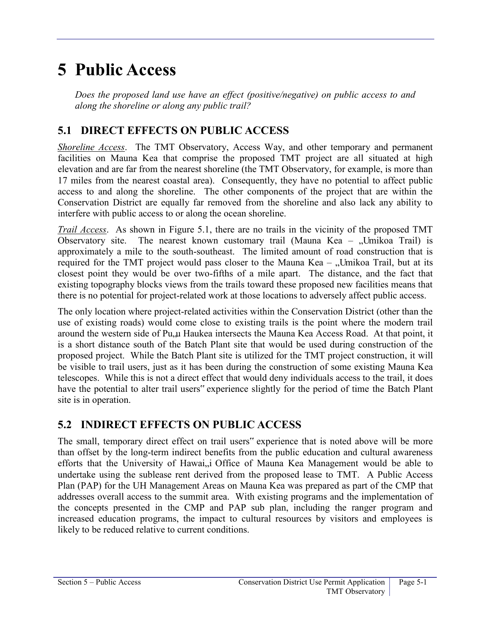## **5 Public Access**

*Does the proposed land use have an effect (positive/negative) on public access to and along the shoreline or along any public trail?* 

## **5.1 DIRECT EFFECTS ON PUBLIC ACCESS**

*Shoreline Access*. The TMT Observatory, Access Way, and other temporary and permanent facilities on Mauna Kea that comprise the proposed TMT project are all situated at high elevation and are far from the nearest shoreline (the TMT Observatory, for example, is more than 17 miles from the nearest coastal area). Consequently, they have no potential to affect public access to and along the shoreline. The other components of the project that are within the Conservation District are equally far removed from the shoreline and also lack any ability to interfere with public access to or along the ocean shoreline.

*Trail Access*. As shown in [Figure 5.1,](#page-1-0) there are no trails in the vicinity of the proposed TMT Observatory site. The nearest known customary trail (Mauna Kea – "Umikoa Trail) is approximately a mile to the south-southeast. The limited amount of road construction that is required for the TMT project would pass closer to the Mauna Kea –  $\mathcal{L}$ Umikoa Trail, but at its closest point they would be over two-fifths of a mile apart. The distance, and the fact that existing topography blocks views from the trails toward these proposed new facilities means that there is no potential for project-related work at those locations to adversely affect public access.

The only location where project-related activities within the Conservation District (other than the use of existing roads) would come close to existing trails is the point where the modern trail around the western side of Pu, u Haukea intersects the Mauna Kea Access Road. At that point, it is a short distance south of the Batch Plant site that would be used during construction of the proposed project. While the Batch Plant site is utilized for the TMT project construction, it will be visible to trail users, just as it has been during the construction of some existing Mauna Kea telescopes. While this is not a direct effect that would deny individuals access to the trail, it does have the potential to alter trail users" experience slightly for the period of time the Batch Plant site is in operation.

## **5.2 INDIRECT EFFECTS ON PUBLIC ACCESS**

The small, temporary direct effect on trail users" experience that is noted above will be more than offset by the long-term indirect benefits from the public education and cultural awareness efforts that the University of Hawai, i Office of Mauna Kea Management would be able to undertake using the sublease rent derived from the proposed lease to TMT. A Public Access Plan (PAP) for the UH Management Areas on Mauna Kea was prepared as part of the CMP that addresses overall access to the summit area. With existing programs and the implementation of the concepts presented in the CMP and PAP sub plan, including the ranger program and increased education programs, the impact to cultural resources by visitors and employees is likely to be reduced relative to current conditions.